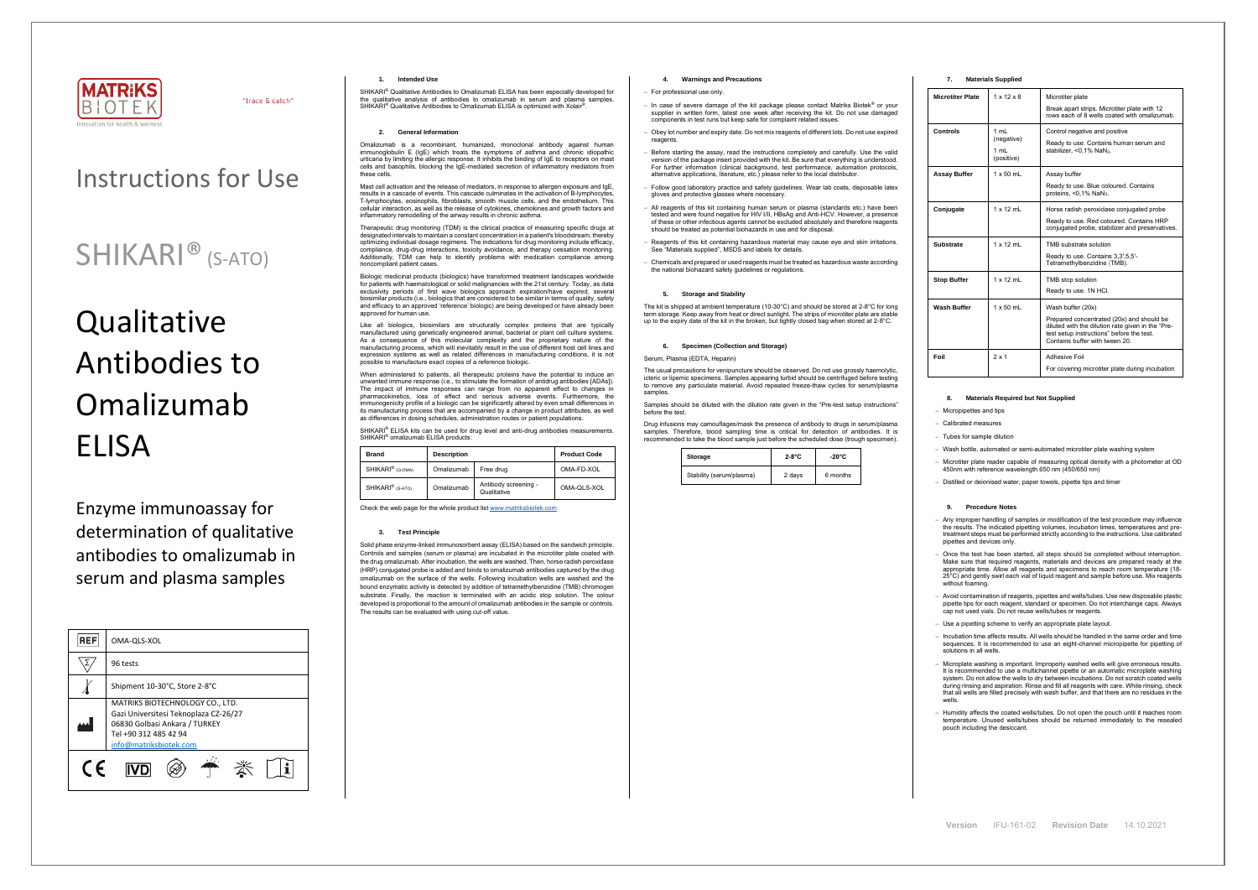

"trace & catch"

## Instructions for Use

# **Qualitative** Antibodies to Omalizumab ELISA

## SHIKARI® (S-ATO)

Enzyme immunoassay for determination of qualitative antibodies to omalizumab in serum and plasma samples

| <b>REF</b> | OMA-QLS-XOL                                                                                                                                                  |  |  |
|------------|--------------------------------------------------------------------------------------------------------------------------------------------------------------|--|--|
|            | 96 tests                                                                                                                                                     |  |  |
|            | Shipment 10-30°C, Store 2-8°C                                                                                                                                |  |  |
|            | MATRIKS BIOTECHNOLOGY CO., LTD.<br>Gazi Universitesi Teknoplaza CZ-26/27<br>06830 Golbasi Ankara / TURKEY<br>Tel +90 312 485 42 94<br>info@matriksbiotek.com |  |  |
| (F         |                                                                                                                                                              |  |  |

### **1. Intended Use**

SHIKARI® Qualitative Antibodies to Omalizumab ELISA has been especially developed for the qualitative analysis of antibodies to omalizumab in serum and plasma samples. SHIKARI<sup>®</sup> Qualitative Antibodies to Omalizumab ELISA is optimized with Xolair<sup>®</sup> .

### **2. General Information**

Omalizumab is a recombinant, humanized, monoclonal antibody against human immunoglobulin E (IgE) which treats the symptoms of asthma and chronic idiopathic urticaria by limiting the allergic response. It inhibits the binding of IgE to receptors on mast cells and basophils, blocking the IgE-mediated secretion of inflammatory mediators from these cells.

Mast cell activation and the release of mediators, in response to allergen exposure and IgE, results in a cascade of events. This cascade culminates in the activation of B-lymphocytes T-lymphocytes, eosinophils, fibroblasts, smooth muscle cells, and the endothelium. This cellular interaction, as well as the release of cytokines, chemokines and growth factors and inflammatory remodelling of the airway results in chronic asthma.

When administered to patients, all therapeutic proteins have the potential to induce an unwanted immune response (i.e., to stimulate the formation of antidrug antibodies [ADAs]). The impact of immune responses can range from no apparent effect to changes in pharmacokinetics, loss of effect and serious adverse events. Furthermore, the immunogenicity profile of a biologic can be significantly altered by even small differences in its manufacturing process that are accompanied by a change in product attributes, as well as differences in dosing schedules, administration routes or patient populations.

Therapeutic drug monitoring (TDM) is the clinical practice of measuring specific drugs at designated intervals to maintain a constant concentration in a patient's bloodstream, thereby optimizing individual dosage regimens. The indications for drug monitoring include efficacy, compliance, drug-drug interactions, toxicity avoidance, and therapy cessation monitoring. Additionally, TDM can help to identify problems with medication compliance among noncompliant patient cases.

SHIKARI<sup>®</sup> ELISA kits can be used for drug level and anti-drug antibodies measurements. SHIKARI® omalizumab ELISA products:

Biologic medicinal products (biologics) have transformed treatment landscapes worldwide for patients with haematological or solid malignancies with the 21st century. Today, as data exclusivity periods of first wave biologics approach expiration/have expired, several biosimilar products (i.e., biologics that are considered to be similar in terms of quality, safety and efficacy to an approved 'reference' biologic) are being developed or have already been approved for human use.

Like all biologics, biosimilars are structurally complex proteins that are typically manufactured using genetically engineered animal, bacterial or plant cell culture systems. As a consequence of this molecular complexity and the proprietary nature of the manufacturing process, which will inevitably result in the use of different host cell lines and expression systems as well as related differences in manufacturing conditions, it is not possible to manufacture exact copies of a reference biologic.

The usual precautions for venipuncture should be observed. Do not use grossly haemolytic, icteric or lipemic specimens. Samples appearing turbid should be centrifuged before testing to remove any particulate material. Avoid repeated freeze-thaw cycles for serum/plasma samples

| <b>Brand</b>                 | <b>Description</b> |                                     | <b>Product Code</b> |
|------------------------------|--------------------|-------------------------------------|---------------------|
| SHIKARI <sup>®</sup> (Q-OMA) | Omalizumab         | Free drug                           | OMA-FD-XOL          |
| SHIKARI <sup>®</sup> (S-ATO) | Omalizumab         | Antibody screening -<br>Qualitative | OMA-QLS-XOL         |

Check the web page for the whole product lis[t www.matriksbiotek.com](http://www.matriksbiotek.com/)

#### **3. Test Principle**

Solid phase enzyme-linked immunosorbent assay (ELISA) based on the sandwich principle. Controls and samples (serum or plasma) are incubated in the microtiter plate coated with the drug omalizumab. After incubation, the wells are washed. Then, horse radish peroxidase (HRP) conjugated probe is added and binds to omalizumab antibodies captured by the drug omalizumab on the surface of the wells. Following incubation wells are washed and the bound enzymatic activity is detected by addition of tetramethylbenzidine (TMB) chromogen substrate. Finally, the reaction is terminated with an acidic stop solution. The colour developed is proportional to the amount of omalizumab antibodies in the sample or controls. The results can be evaluated with using cut-off value.

− Once the test has been started, all steps should be completed without interruption. Make sure that required reagents, materials and devices are prepared ready at the appropriate time. Allow all reagents and specimens to reach room temperature (18- 25°C) and gently swirl each vial of liquid reagent and sample before use. Mix reagents without foaming

## **4. Warnings and Precautions**

#### − For professional use only.

− Incubation time affects results. All wells should be handled in the same order and time sequences. It is recommended to use an eight-channel micropipette for pipetting of solutions in all wells.

- − In case of severe damage of the kit package please contact Matriks Biotek® or your supplier in written form, latest one week after receiving the kit. Do not use damaged components in test runs but keep safe for complaint related issues.
- − Obey lot number and expiry date. Do not mix reagents of different lots. Do not use expired reagents
- Before starting the assay, read the instructions completely and carefully. Use the valid version of the package insert provided with the kit. Be sure that everything is understood. For further information (clinical background, test performance, automation protocols, alternative applications, literature, etc.) please refer to the local distributor.
- − Follow good laboratory practice and safety guidelines. Wear lab coats, disposable latex gloves and protective glasses where necessary.
- − All reagents of this kit containing human serum or plasma (standards etc.) have been tested and were found negative for HIV I/II, HBsAg and Anti-HCV. However, a presence of these or other infectious agents cannot be excluded absolutely and therefore reagents should be treated as potential biohazards in use and for disposal.
- − Reagents of this kit containing hazardous material may cause eye and skin irritations. See "Materials supplied", MSDS and labels for details.
- − Chemicals and prepared or used reagents must be treated as hazardous waste according the national biohazard safety guidelines or regulations.

## **5. Storage and Stability**

The kit is shipped at ambient temperature (10-30°C) and should be stored at 2-8°C for long term storage. Keep away from heat or direct sunlight. The strips of microtiter plate are stable up to the expiry date of the kit in the broken, but tightly closed bag when stored at 2-8°C.

#### **6. Specimen (Collection and Storage)**

Serum, Plasma (EDTA, Heparin)

Samples should be diluted with the dilution rate given in the "Pre-test setup instructions" before the test.

Drug infusions may camouflages/mask the presence of antibody to drugs in serum/plasma samples. Therefore, blood sampling time is critical for detection of antibodies. It is recommended to take the blood sample just before the scheduled dose (trough specimen).

| Storage                  | $2-8$ °C | -20°C    |
|--------------------------|----------|----------|
| Stability (serum/plasma) | 2 days   | 6 months |

## **7. Materials Supplied**

| <b>Microtiter Plate</b> | $1 \times 12 \times 8$                   | Microtiter plate<br>Break apart strips. Microtiter plate with 12<br>rows each of 8 wells coated with omalizumab.                                                                                  |
|-------------------------|------------------------------------------|---------------------------------------------------------------------------------------------------------------------------------------------------------------------------------------------------|
| Controls                | 1 mL<br>(negative)<br>1 mL<br>(positive) | Control negative and positive<br>Ready to use. Contains human serum and<br>stabilizer, < $0.1\%$ NaN <sub>3</sub> .                                                                               |
| <b>Assay Buffer</b>     | $1 \times 50$ mL                         | Assay buffer<br>Ready to use. Blue coloured. Contains<br>proteins, $<$ 0,1% NaN <sub>3</sub> .                                                                                                    |
| Conjugate               | $1 \times 12$ mL                         | Horse radish peroxidase conjugated probe<br>Ready to use. Red coloured. Contains HRP<br>conjugated probe, stabilizer and preservatives.                                                           |
| Substrate               | $1 \times 12$ ml                         | TMB substrate solution<br>Ready to use. Contains 3,3',5,5'-<br>Tetramethylbenzidine (TMB).                                                                                                        |
| <b>Stop Buffer</b>      | $1 \times 12$ mL                         | TMB stop solution<br>Ready to use. 1N HCI.                                                                                                                                                        |
| <b>Wash Buffer</b>      | $1 \times 50$ mL                         | Wash buffer (20x)<br>Prepared concentrated (20x) and should be<br>diluted with the dilution rate given in the "Pre-<br>test setup instructions" before the test.<br>Contains buffer with tween 20 |
| Foil                    | $2 \times 1$                             | <b>Adhesive Foil</b><br>For covering microtiter plate during incubation                                                                                                                           |

## **8. Materials Required but Not Supplied**

− Micropipettes and tips

− Calibrated measures

− Tubes for sample dilution

− Wash bottle, automated or semi-automated microtiter plate washing system

− Microtiter plate reader capable of measuring optical density with a photometer at OD 450nm with reference wavelength 650 nm (450/650 nm)

− Distilled or deionised water, paper towels, pipette tips and timer

#### **9. Procedure Notes**

− Any improper handling of samples or modification of the test procedure may influence the results. The indicated pipetting volumes, incubation times, temperatures and pre-treatment steps must be performed strictly according to the instructions. Use calibrated pipettes and devices only.

− Avoid contamination of reagents, pipettes and wells/tubes. Use new disposable plastic pipette tips for each reagent, standard or specimen. Do not interchange caps. Always cap not used vials. Do not reuse wells/tubes or reagents.

− Use a pipetting scheme to verify an appropriate plate layout.

− Microplate washing is important. Improperly washed wells will give erroneous results. It is recommended to use a multichannel pipette or an automatic microplate washing system. Do not allow the wells to dry between incubations. Do not scratch coated wells during rinsing and aspiration. Rinse and fill all reagents with care. While rinsing, check that all wells are filled precisely with wash buffer, and that there are no residues in the wells.

− Humidity affects the coated wells/tubes. Do not open the pouch until it reaches room temperature. Unused wells/tubes should be returned immediately to the resealed pouch including the desiccant.